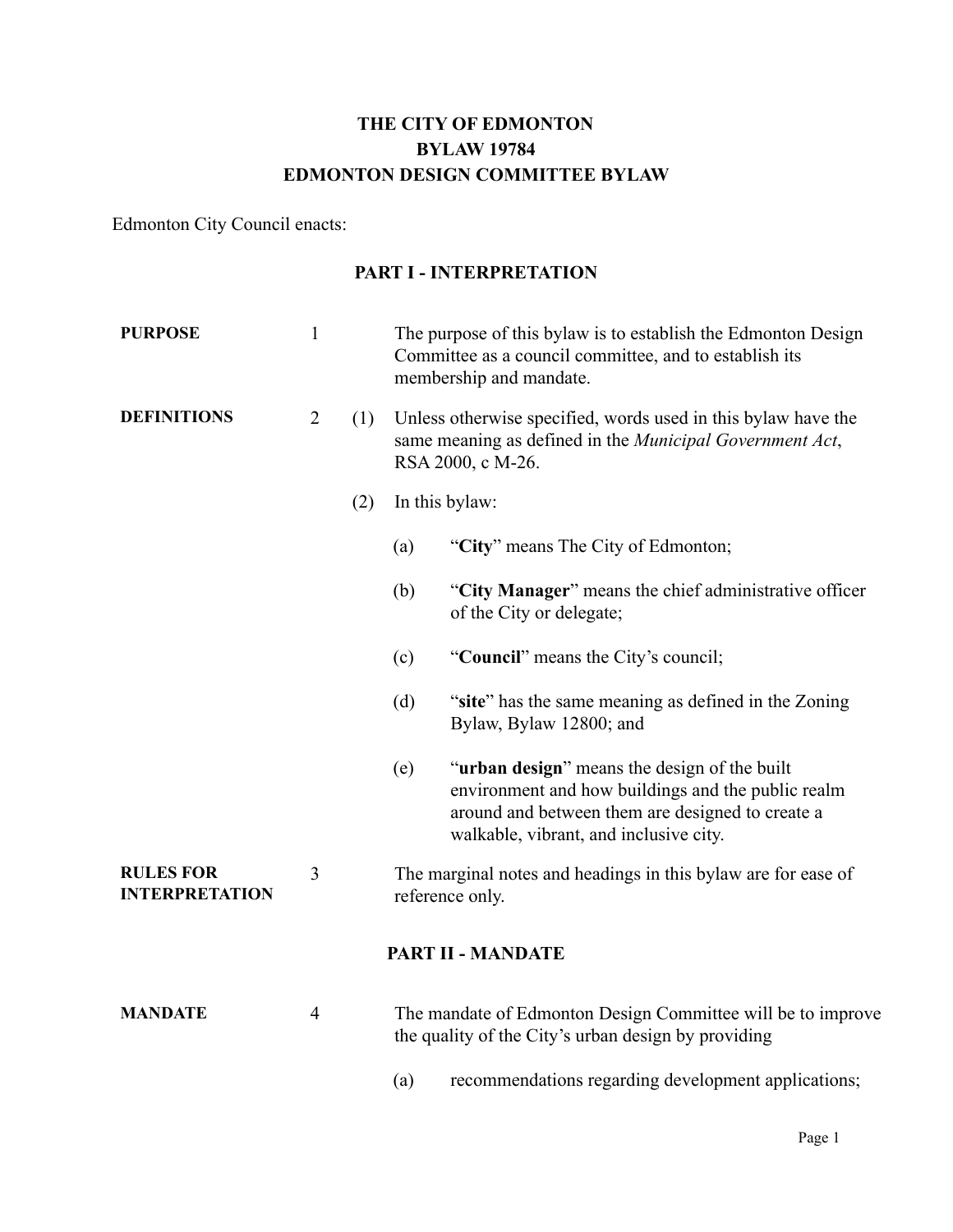# **THE CITY OF EDMONTON BYLAW 19784 EDMONTON DESIGN COMMITTEE BYLAW**

Edmonton City Council enacts:

#### **PART I - INTERPRETATION**

| <b>PURPOSE</b>                            | $\mathbf{1}$   |     | The purpose of this bylaw is to establish the Edmonton Design<br>Committee as a council committee, and to establish its<br>membership and mandate.                                                               |  |  |
|-------------------------------------------|----------------|-----|------------------------------------------------------------------------------------------------------------------------------------------------------------------------------------------------------------------|--|--|
| <b>DEFINITIONS</b>                        | $\overline{2}$ | (1) | Unless otherwise specified, words used in this bylaw have the<br>same meaning as defined in the Municipal Government Act,<br>RSA 2000, c M-26.<br>In this bylaw:                                                 |  |  |
|                                           |                | (2) |                                                                                                                                                                                                                  |  |  |
|                                           |                |     | "City" means The City of Edmonton;<br>(a)                                                                                                                                                                        |  |  |
|                                           |                |     | "City Manager" means the chief administrative officer<br>(b)<br>of the City or delegate;                                                                                                                         |  |  |
|                                           |                |     | "Council" means the City's council;<br>(c)                                                                                                                                                                       |  |  |
|                                           |                |     | "site" has the same meaning as defined in the Zoning<br>(d)<br>Bylaw, Bylaw 12800; and                                                                                                                           |  |  |
|                                           |                |     | " <b>urban design</b> " means the design of the built<br>(e)<br>environment and how buildings and the public realm<br>around and between them are designed to create a<br>walkable, vibrant, and inclusive city. |  |  |
| <b>RULES FOR</b><br><b>INTERPRETATION</b> | 3              |     | The marginal notes and headings in this bylaw are for ease of<br>reference only.                                                                                                                                 |  |  |
|                                           |                |     | <b>PART II - MANDATE</b>                                                                                                                                                                                         |  |  |
| <b>MANDATE</b>                            | $\overline{4}$ |     | The mandate of Edmonton Design Committee will be to improve<br>the quality of the City's urban design by providing                                                                                               |  |  |
|                                           |                |     | recommendations regarding development applications;<br>(a)                                                                                                                                                       |  |  |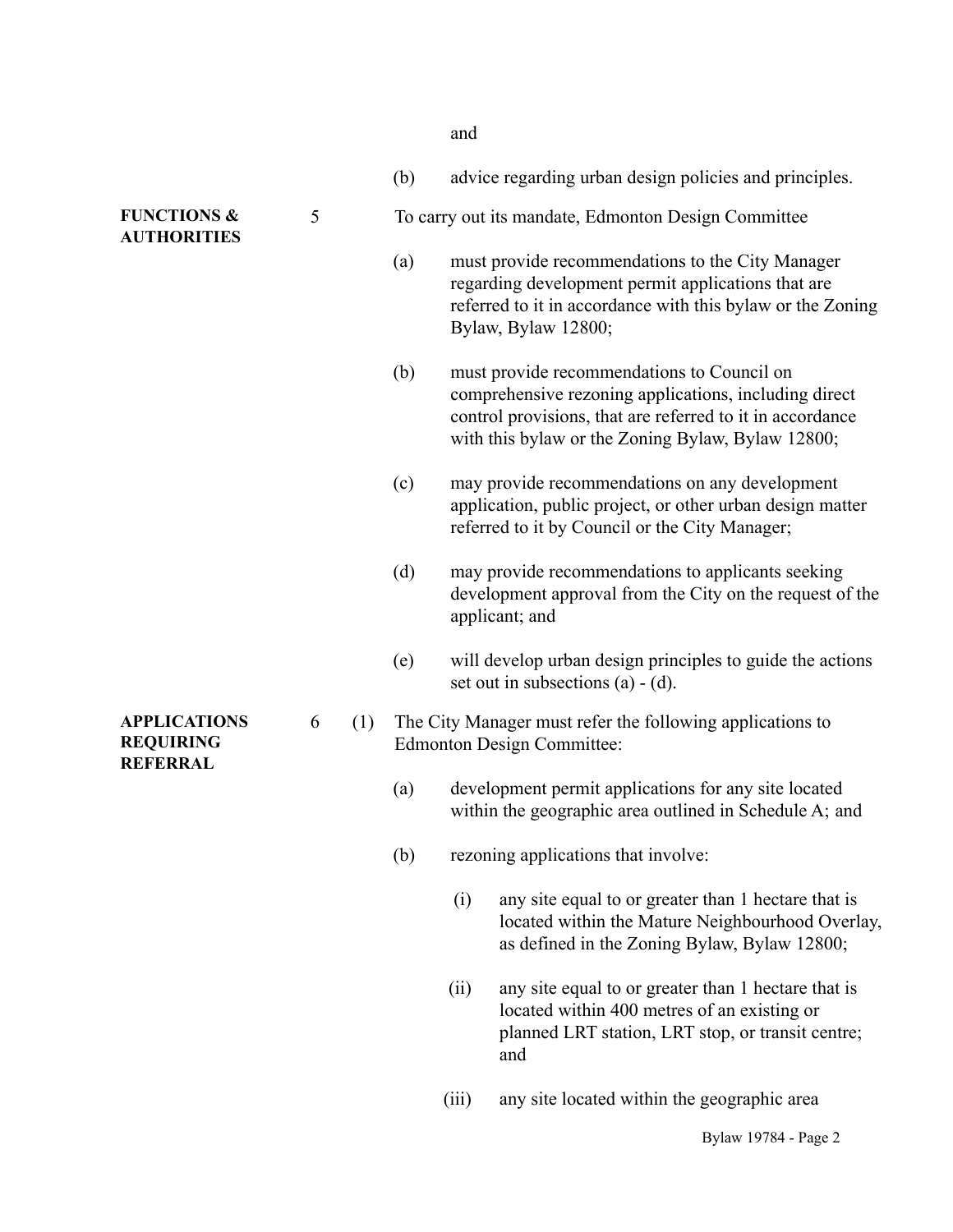| $-1$<br>× |  |
|-----------|--|
|-----------|--|

|                                                            |          |  | (b)                                                 |       | advice regarding urban design policies and principles.                                                                                                                                                                |  |
|------------------------------------------------------------|----------|--|-----------------------------------------------------|-------|-----------------------------------------------------------------------------------------------------------------------------------------------------------------------------------------------------------------------|--|
| <b>FUNCTIONS &amp;</b><br><b>AUTHORITIES</b>               | 5        |  | To carry out its mandate, Edmonton Design Committee |       |                                                                                                                                                                                                                       |  |
|                                                            |          |  | (a)                                                 |       | must provide recommendations to the City Manager<br>regarding development permit applications that are<br>referred to it in accordance with this bylaw or the Zoning<br>Bylaw, Bylaw 12800;                           |  |
|                                                            |          |  | (b)                                                 |       | must provide recommendations to Council on<br>comprehensive rezoning applications, including direct<br>control provisions, that are referred to it in accordance<br>with this bylaw or the Zoning Bylaw, Bylaw 12800; |  |
|                                                            |          |  | (c)                                                 |       | may provide recommendations on any development<br>application, public project, or other urban design matter<br>referred to it by Council or the City Manager;                                                         |  |
|                                                            |          |  | (d)                                                 |       | may provide recommendations to applicants seeking<br>development approval from the City on the request of the<br>applicant; and                                                                                       |  |
|                                                            |          |  | (e)                                                 |       | will develop urban design principles to guide the actions<br>set out in subsections $(a) - (d)$ .                                                                                                                     |  |
| <b>APPLICATIONS</b><br><b>REQUIRING</b><br><b>REFERRAL</b> | 6<br>(1) |  |                                                     |       | The City Manager must refer the following applications to<br><b>Edmonton Design Committee:</b>                                                                                                                        |  |
|                                                            |          |  | (a)                                                 |       | development permit applications for any site located<br>within the geographic area outlined in Schedule A; and                                                                                                        |  |
|                                                            |          |  | (b)                                                 |       | rezoning applications that involve:                                                                                                                                                                                   |  |
|                                                            |          |  |                                                     | (i)   | any site equal to or greater than 1 hectare that is<br>located within the Mature Neighbourhood Overlay,<br>as defined in the Zoning Bylaw, Bylaw 12800;                                                               |  |
|                                                            |          |  |                                                     | (ii)  | any site equal to or greater than 1 hectare that is<br>located within 400 metres of an existing or<br>planned LRT station, LRT stop, or transit centre;<br>and                                                        |  |
|                                                            |          |  |                                                     | (iii) | any site located within the geographic area                                                                                                                                                                           |  |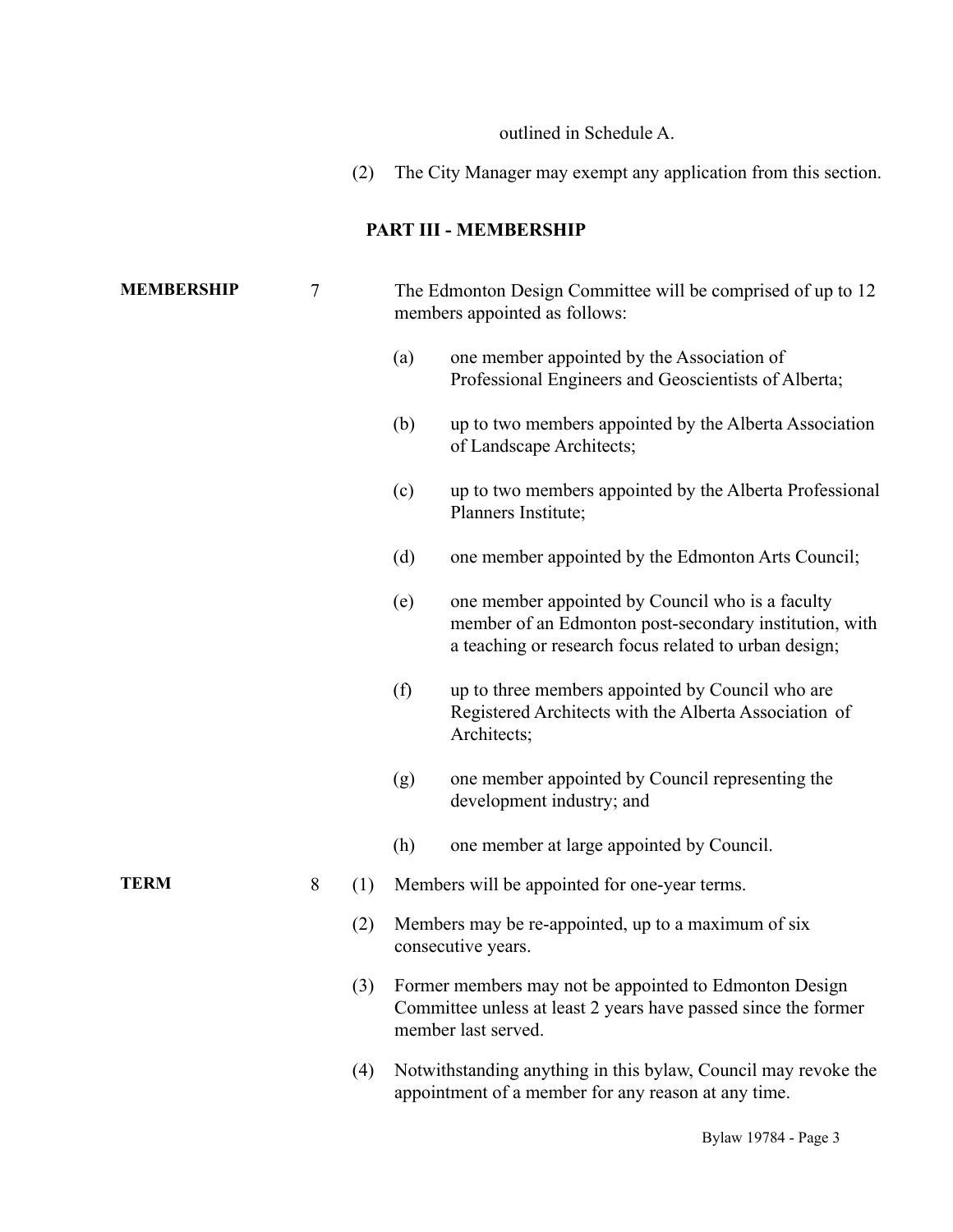outlined in Schedule A.

(2) The City Manager may exempt any application from this section.

## **PART III - MEMBERSHIP**

| <b>MEMBERSHIP</b> | 7   |     | The Edmonton Design Committee will be comprised of up to 12<br>members appointed as follows:                                                    |                                                                                                                                                                     |  |
|-------------------|-----|-----|-------------------------------------------------------------------------------------------------------------------------------------------------|---------------------------------------------------------------------------------------------------------------------------------------------------------------------|--|
|                   |     |     | (a)                                                                                                                                             | one member appointed by the Association of<br>Professional Engineers and Geoscientists of Alberta;                                                                  |  |
|                   |     |     | (b)                                                                                                                                             | up to two members appointed by the Alberta Association<br>of Landscape Architects;                                                                                  |  |
|                   |     |     | (c)                                                                                                                                             | up to two members appointed by the Alberta Professional<br>Planners Institute;                                                                                      |  |
|                   |     |     | (d)                                                                                                                                             | one member appointed by the Edmonton Arts Council;                                                                                                                  |  |
|                   |     |     | (e)                                                                                                                                             | one member appointed by Council who is a faculty<br>member of an Edmonton post-secondary institution, with<br>a teaching or research focus related to urban design; |  |
|                   |     |     | (f)                                                                                                                                             | up to three members appointed by Council who are<br>Registered Architects with the Alberta Association of<br>Architects;                                            |  |
|                   |     |     | (g)                                                                                                                                             | one member appointed by Council representing the<br>development industry; and                                                                                       |  |
|                   |     |     | (h)                                                                                                                                             | one member at large appointed by Council.                                                                                                                           |  |
| <b>TERM</b>       | 8   | (1) | Members will be appointed for one-year terms.                                                                                                   |                                                                                                                                                                     |  |
|                   |     | (2) | Members may be re-appointed, up to a maximum of six<br>consecutive years.                                                                       |                                                                                                                                                                     |  |
|                   |     | (3) | Former members may not be appointed to Edmonton Design<br>Committee unless at least 2 years have passed since the former<br>member last served. |                                                                                                                                                                     |  |
|                   | (4) |     |                                                                                                                                                 | Notwithstanding anything in this bylaw, Council may revoke the<br>appointment of a member for any reason at any time.                                               |  |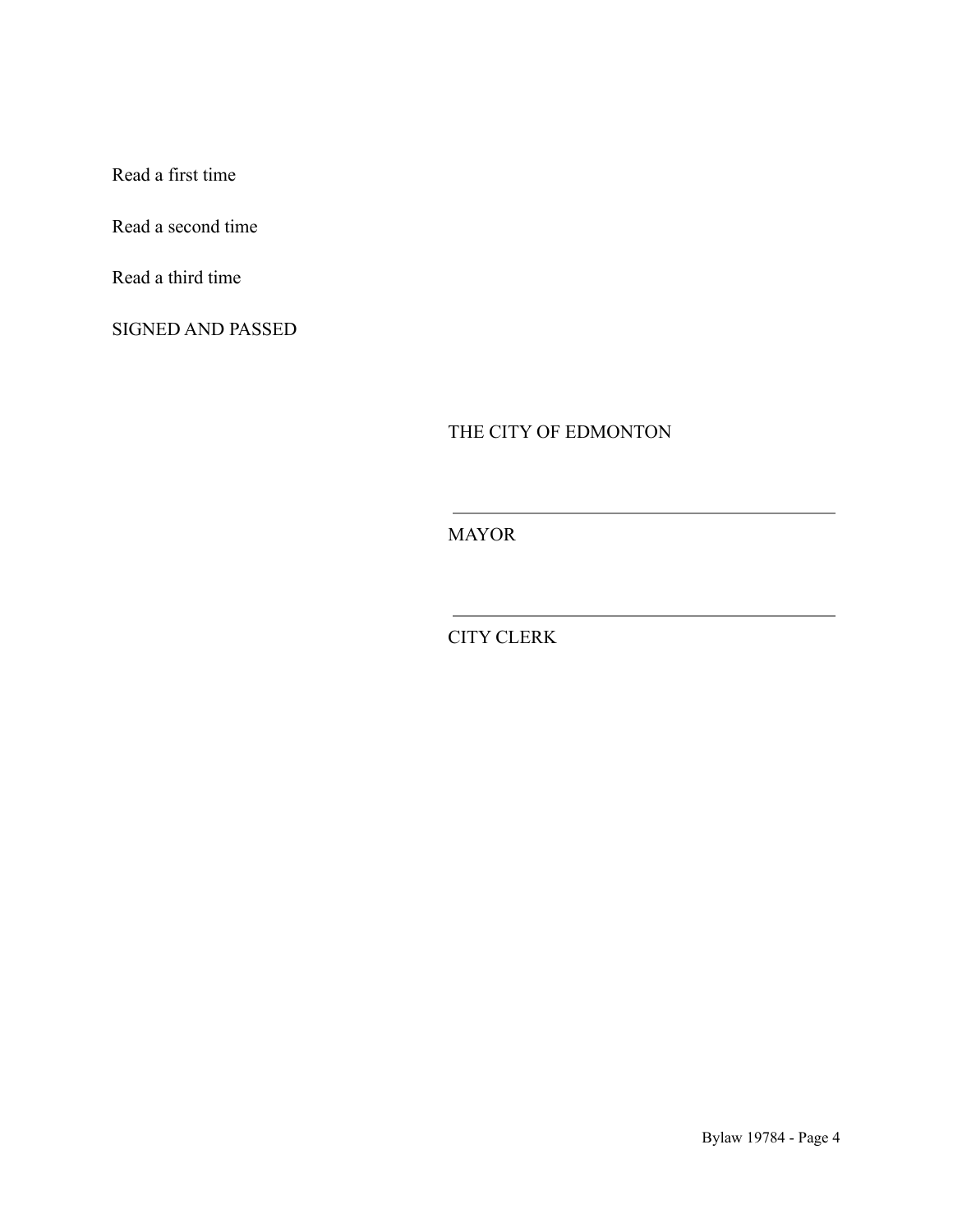Read a first time

Read a second time

Read a third time

SIGNED AND PASSED

THE CITY OF EDMONTON

the control of the control of the control of

MAYOR

CITY CLERK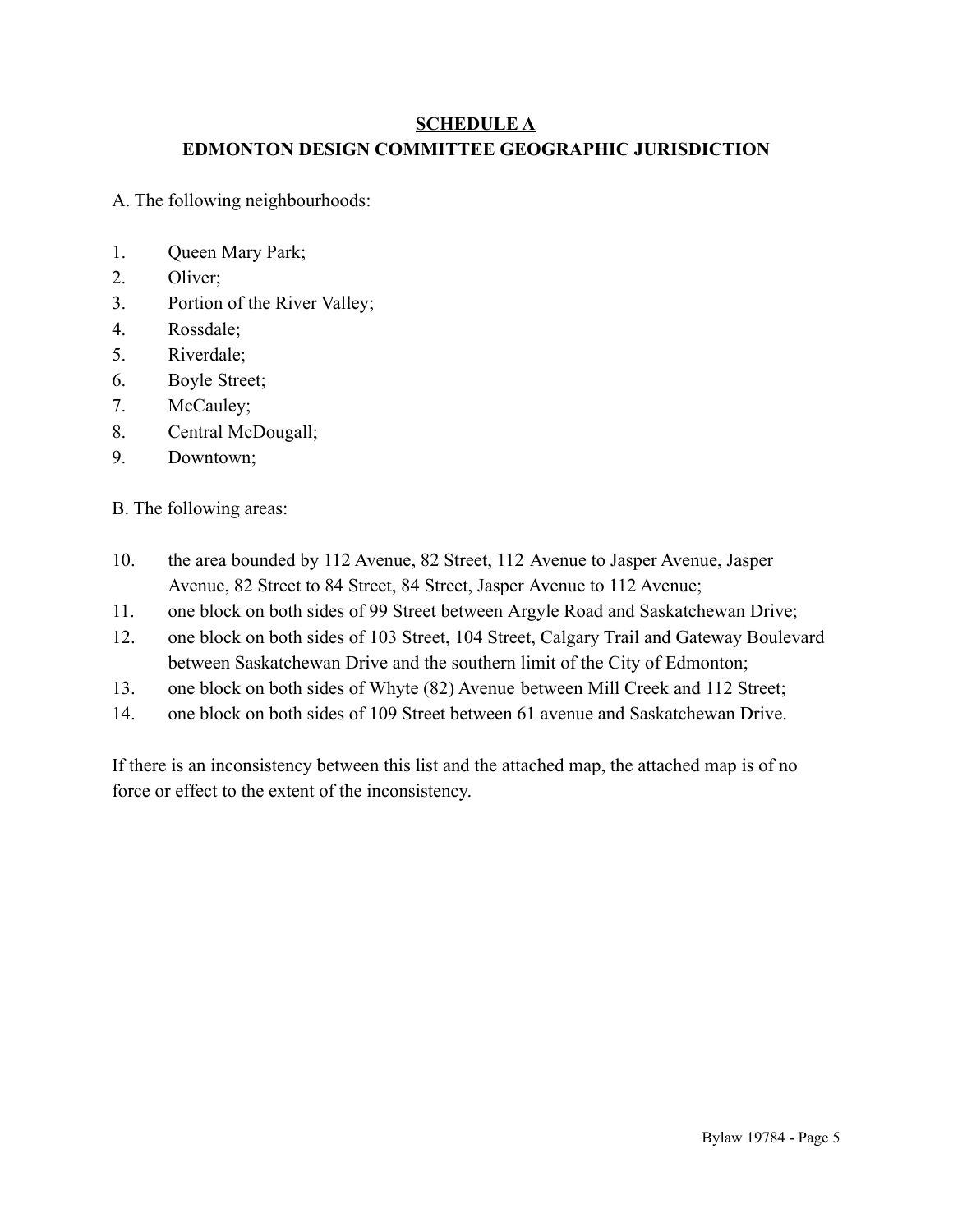## **SCHEDULE A EDMONTON DESIGN COMMITTEE GEOGRAPHIC JURISDICTION**

A. The following neighbourhoods:

- 1. Queen Mary Park;
- 2. Oliver;
- 3. Portion of the River Valley;
- 4. Rossdale;
- 5. Riverdale;
- 6. Boyle Street;
- 7. McCauley;
- 8. Central McDougall;
- 9. Downtown;

B. The following areas:

- 10. the area bounded by 112 Avenue, 82 Street, 112 Avenue to Jasper Avenue, Jasper Avenue, 82 Street to 84 Street, 84 Street, Jasper Avenue to 112 Avenue;
- 11. one block on both sides of 99 Street between Argyle Road and Saskatchewan Drive;
- 12. one block on both sides of 103 Street, 104 Street, Calgary Trail and Gateway Boulevard between Saskatchewan Drive and the southern limit of the City of Edmonton;
- 13. one block on both sides of Whyte (82) Avenue between Mill Creek and 112 Street;
- 14. one block on both sides of 109 Street between 61 avenue and Saskatchewan Drive.

If there is an inconsistency between this list and the attached map, the attached map is of no force or effect to the extent of the inconsistency.